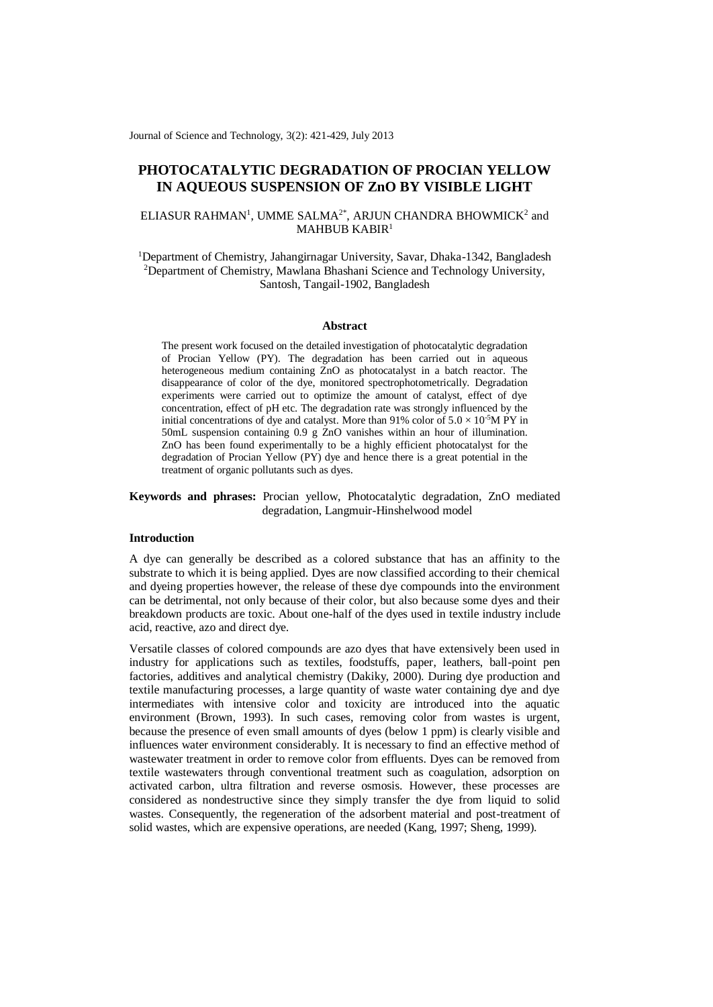Journal of Science and Technology, 3(2): 421-429, July 2013

# **PHOTOCATALYTIC DEGRADATION OF PROCIAN YELLOW IN AQUEOUS SUSPENSION OF ZnO BY VISIBLE LIGHT**

# ELIASUR RAHMAN<sup>1</sup>, UMME SALMA<sup>2\*</sup>, ARJUN CHANDRA BHOWMICK<sup>2</sup> and MAHBUB KABIR<sup>1</sup>

<sup>1</sup>Department of Chemistry, Jahangirnagar University, Savar, Dhaka-1342, Bangladesh <sup>2</sup>Department of Chemistry, Mawlana Bhashani Science and Technology University, Santosh, Tangail-1902, Bangladesh

#### **Abstract**

The present work focused on the detailed investigation of photocatalytic degradation of Procian Yellow (PY). The degradation has been carried out in aqueous heterogeneous medium containing ZnO as photocatalyst in a batch reactor. The disappearance of color of the dye, monitored spectrophotometrically. Degradation experiments were carried out to optimize the amount of catalyst, effect of dye concentration, effect of pH etc. The degradation rate was strongly influenced by the initial concentrations of dye and catalyst. More than 91% color of  $5.0 \times 10^{-5}$ M PY in 50mL suspension containing 0.9 g ZnO vanishes within an hour of illumination. ZnO has been found experimentally to be a highly efficient photocatalyst for the degradation of Procian Yellow (PY) dye and hence there is a great potential in the treatment of organic pollutants such as dyes.

**Keywords and phrases:** Procian yellow, Photocatalytic degradation, ZnO mediated degradation, Langmuir-Hinshelwood model

## **Introduction**

A dye can generally be described as a colored substance that has an affinity to the substrate to which it is being applied. Dyes are now classified according to their chemical and dyeing properties however, the release of these dye compounds into the environment can be detrimental, not only because of their color, but also because some dyes and their breakdown products are toxic. About one-half of the dyes used in textile industry include acid, reactive, azo and direct dye.

Versatile classes of colored compounds are azo dyes that have extensively been used in industry for applications such as textiles, foodstuffs, paper, leathers, ball-point pen factories, additives and analytical chemistry (Dakiky, 2000). During dye production and textile manufacturing processes, a large quantity of waste water containing dye and dye intermediates with intensive color and toxicity are introduced into the aquatic environment (Brown, 1993). In such cases, removing color from wastes is urgent, because the presence of even small amounts of dyes (below 1 ppm) is clearly visible and influences water environment considerably. It is necessary to find an effective method of wastewater treatment in order to remove color from effluents. Dyes can be removed from textile wastewaters through conventional treatment such as coagulation, adsorption on activated carbon, ultra filtration and reverse osmosis. However, these processes are considered as nondestructive since they simply transfer the dye from liquid to solid wastes. Consequently, the regeneration of the adsorbent material and post-treatment of solid wastes, which are expensive operations, are needed (Kang, 1997; Sheng, 1999).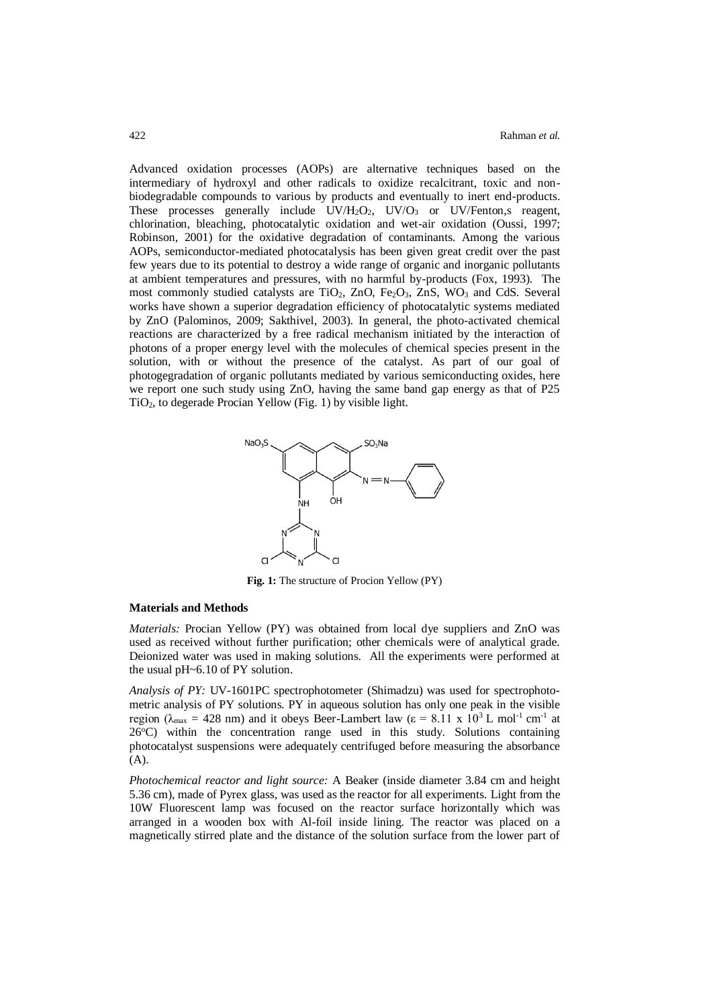Advanced oxidation processes (AOPs) are alternative techniques based on the intermediary of hydroxyl and other radicals to oxidize recalcitrant, toxic and nonbiodegradable compounds to various by products and eventually to inert end-products. These processes generally include  $UV/H_2O_2$ ,  $UV/O_3$  or  $UV/Fenton$ , reagent, chlorination, bleaching, photocatalytic oxidation and wet-air oxidation (Oussi, 1997; Robinson, 2001) for the oxidative degradation of contaminants. Among the various AOPs, semiconductor-mediated photocatalysis has been given great credit over the past few years due to its potential to destroy a wide range of organic and inorganic pollutants at ambient temperatures and pressures, with no harmful by-products (Fox, 1993). The most commonly studied catalysts are TiO<sub>2</sub>, ZnO, Fe<sub>2</sub>O<sub>3</sub>, ZnS, WO<sub>3</sub> and CdS. Several works have shown a superior degradation efficiency of photocatalytic systems mediated by ZnO (Palominos, 2009; Sakthivel, 2003). In general, the photo-activated chemical reactions are characterized by a free radical mechanism initiated by the interaction of photons of a proper energy level with the molecules of chemical species present in the solution, with or without the presence of the catalyst. As part of our goal of photogegradation of organic pollutants mediated by various semiconducting oxides, here we report one such study using ZnO, having the same band gap energy as that of P25 TiO2, to degerade Procian Yellow (Fig. 1) by visible light.



**Fig. 1:** The structure of Procion Yellow (PY)

# **Materials and Methods**

*Materials:* Procian Yellow (PY) was obtained from local dye suppliers and ZnO was used as received without further purification; other chemicals were of analytical grade. Deionized water was used in making solutions. All the experiments were performed at the usual pH~6.10 of PY solution.

*Analysis of PY:* UV-1601PC spectrophotometer (Shimadzu) was used for spectrophotometric analysis of PY solutions. PY in aqueous solution has only one peak in the visible region ( $\lambda_{\text{max}} = 428$  nm) and it obeys Beer-Lambert law ( $\epsilon = 8.11 \times 10^3$  L mol<sup>-1</sup> cm<sup>-1</sup> at 26°C) within the concentration range used in this study. Solutions containing photocatalyst suspensions were adequately centrifuged before measuring the absorbance (A).

*Photochemical reactor and light source:* A Beaker (inside diameter 3.84 cm and height 5.36 cm), made of Pyrex glass, was used as the reactor for all experiments. Light from the 10W Fluorescent lamp was focused on the reactor surface horizontally which was arranged in a wooden box with Al-foil inside lining. The reactor was placed on a magnetically stirred plate and the distance of the solution surface from the lower part of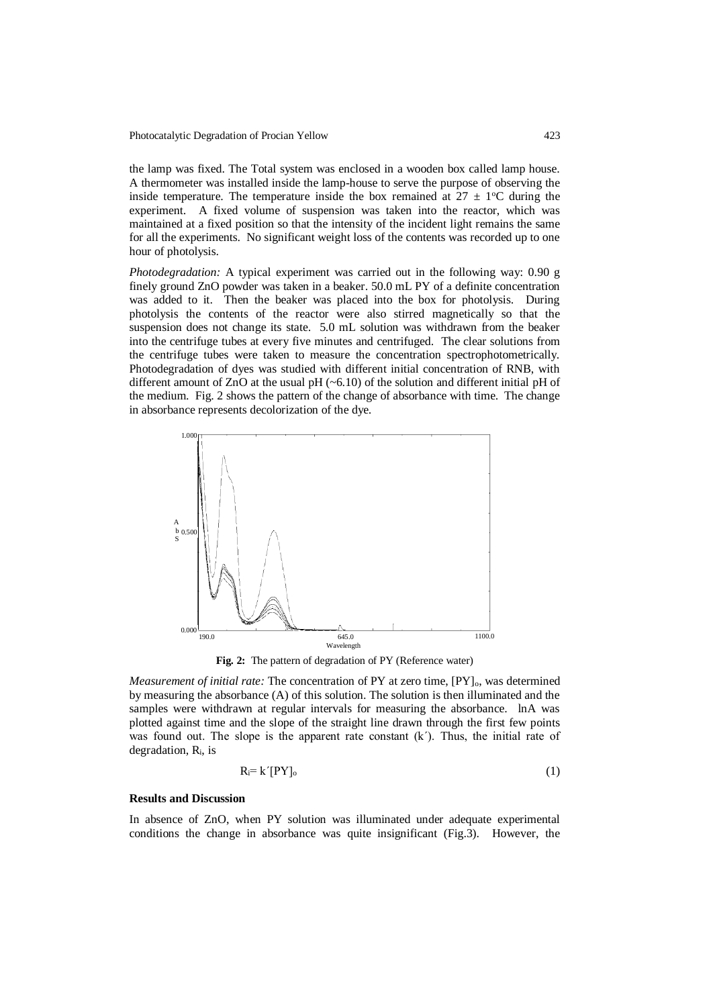the lamp was fixed. The Total system was enclosed in a wooden box called lamp house. A thermometer was installed inside the lamp-house to serve the purpose of observing the inside temperature. The temperature inside the box remained at  $27 \pm 1$ <sup>o</sup>C during the experiment. A fixed volume of suspension was taken into the reactor, which was maintained at a fixed position so that the intensity of the incident light remains the same for all the experiments. No significant weight loss of the contents was recorded up to one hour of photolysis.

*Photodegradation:* A typical experiment was carried out in the following way: 0.90 g finely ground ZnO powder was taken in a beaker. 50.0 mL PY of a definite concentration was added to it. Then the beaker was placed into the box for photolysis. During photolysis the contents of the reactor were also stirred magnetically so that the suspension does not change its state. 5.0 mL solution was withdrawn from the beaker into the centrifuge tubes at every five minutes and centrifuged. The clear solutions from the centrifuge tubes were taken to measure the concentration spectrophotometrically. Photodegradation of dyes was studied with different initial concentration of RNB, with different amount of ZnO at the usual  $pH$  ( $\sim 6.10$ ) of the solution and different initial  $pH$  of the medium. Fig. 2 shows the pattern of the change of absorbance with time. The change in absorbance represents decolorization of the dye.



**Fig. 2:** The pattern of degradation of PY (Reference water)

*Measurement of initial rate:* The concentration of PY at zero time, [PY]<sub>o</sub>, was determined by measuring the absorbance (A) of this solution. The solution is then illuminated and the samples were withdrawn at regular intervals for measuring the absorbance. lnA was plotted against time and the slope of the straight line drawn through the first few points was found out. The slope is the apparent rate constant (k'). Thus, the initial rate of degradation, Ri, is

$$
R_i = k'[PY]_0 \tag{1}
$$

### **Results and Discussion**

In absence of ZnO, when PY solution was illuminated under adequate experimental conditions the change in absorbance was quite insignificant (Fig.3). However, the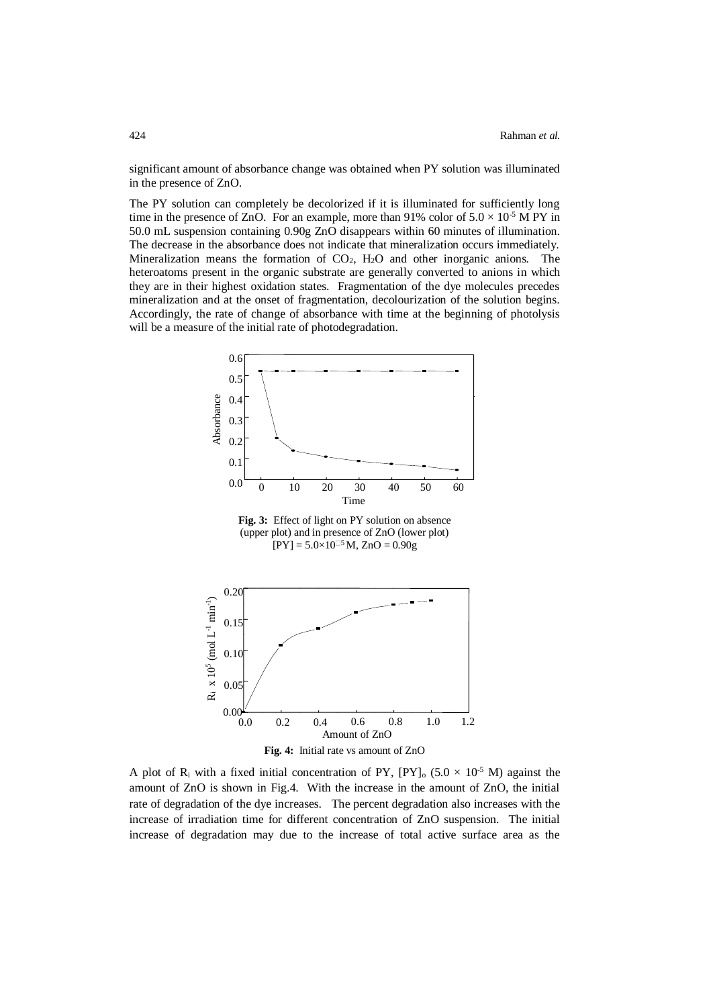significant amount of absorbance change was obtained when PY solution was illuminated in the presence of ZnO.

The PY solution can completely be decolorized if it is illuminated for sufficiently long time in the presence of ZnO. For an example, more than 91% color of  $5.0 \times 10^{-5}$  M PY in 50.0 mL suspension containing 0.90g ZnO disappears within 60 minutes of illumination. The decrease in the absorbance does not indicate that mineralization occurs immediately. Mineralization means the formation of CO2, H2O and other inorganic anions. The heteroatoms present in the organic substrate are generally converted to anions in which they are in their highest oxidation states. Fragmentation of the dye molecules precedes mineralization and at the onset of fragmentation, decolourization of the solution begins. Accordingly, the rate of change of absorbance with time at the beginning of photolysis will be a measure of the initial rate of photodegradation.



**Fig. 3:** Effect of light on PY solution on absence (upper plot) and in presence of ZnO (lower plot)  $[PY] = 5.0 \times 10^{15}$  M,  $ZnO = 0.90g$ 



A plot of R<sub>i</sub> with a fixed initial concentration of PY,  $[PY]_0$  (5.0  $\times$  10<sup>-5</sup> M) against the amount of ZnO is shown in Fig.4. With the increase in the amount of ZnO, the initial rate of degradation of the dye increases. The percent degradation also increases with the increase of irradiation time for different concentration of ZnO suspension. The initial increase of degradation may due to the increase of total active surface area as the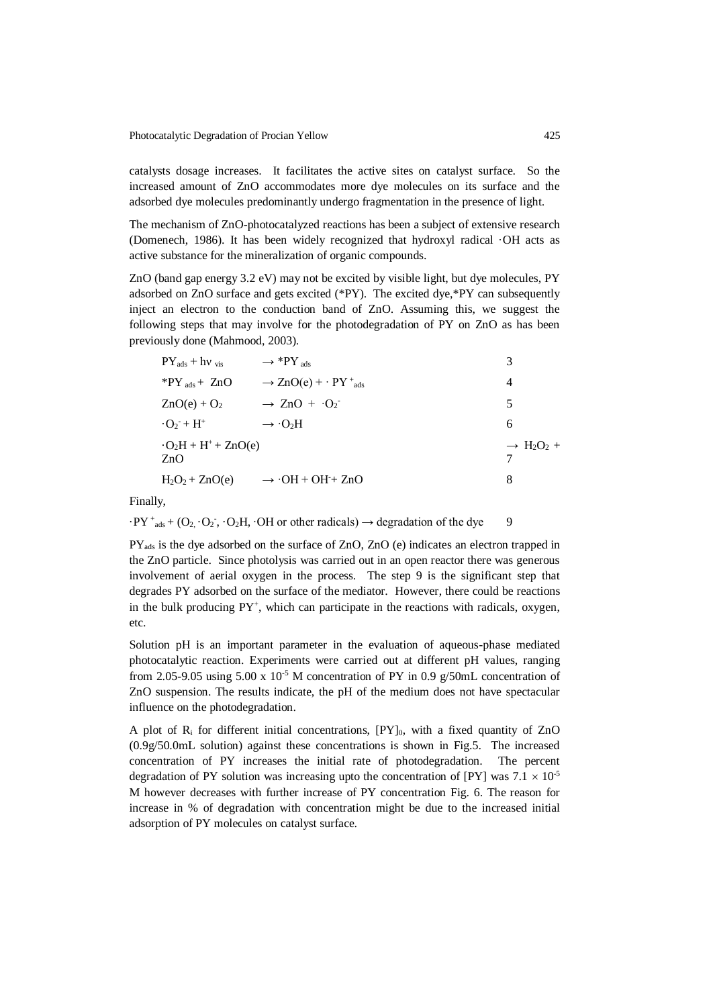catalysts dosage increases. It facilitates the active sites on catalyst surface. So the increased amount of ZnO accommodates more dye molecules on its surface and the adsorbed dye molecules predominantly undergo fragmentation in the presence of light.

The mechanism of ZnO-photocatalyzed reactions has been a subject of extensive research (Domenech, 1986). It has been widely recognized that hydroxyl radical ·OH acts as active substance for the mineralization of organic compounds.

ZnO (band gap energy 3.2 eV) may not be excited by visible light, but dye molecules, PY adsorbed on ZnO surface and gets excited (\*PY). The excited dye,\*PY can subsequently inject an electron to the conduction band of ZnO. Assuming this, we suggest the following steps that may involve for the photodegradation of PY on ZnO as has been previously done (Mahmood, 2003).

| $\rightarrow$ ZnO(e) + $\cdot$ PY $_{\text{ads}}$<br>$PY_{ads}$ + $ZnO$<br>4 |                                               |
|------------------------------------------------------------------------------|-----------------------------------------------|
| $\rightarrow$ ZnO + $\cdot$ O <sub>2</sub><br>$ZnO(e) + O2$<br>5             |                                               |
| $-O_2 + H^+$<br>$\rightarrow \cdot O_2H$<br>6                                |                                               |
| $-O2H + H+ + ZnO(e)$<br>ZnO                                                  | $\rightarrow$ H <sub>2</sub> O <sub>2</sub> + |
| $H_2O_2 + ZnO(e)$ $\rightarrow$ $\cdot OH + OH + ZnO$<br>8                   |                                               |

Finally,

 $\cdot PY_{ads} + (O_2, O_2, O_2H, OH$  or other radicals)  $\rightarrow$  degradation of the dye 9

PY<sub>ads</sub> is the dye adsorbed on the surface of ZnO, ZnO (e) indicates an electron trapped in the ZnO particle. Since photolysis was carried out in an open reactor there was generous involvement of aerial oxygen in the process. The step 9 is the significant step that degrades PY adsorbed on the surface of the mediator. However, there could be reactions in the bulk producing  $PY^+$ , which can participate in the reactions with radicals, oxygen, etc.

Solution pH is an important parameter in the evaluation of aqueous-phase mediated photocatalytic reaction. Experiments were carried out at different pH values, ranging from 2.05-9.05 using 5.00 x  $10^{-5}$  M concentration of PY in 0.9 g/50mL concentration of ZnO suspension. The results indicate, the pH of the medium does not have spectacular influence on the photodegradation.

A plot of  $R_i$  for different initial concentrations,  $[PY]_0$ , with a fixed quantity of  $ZnO$ (0.9g/50.0mL solution) against these concentrations is shown in Fig.5. The increased concentration of PY increases the initial rate of photodegradation. The percent degradation of PY solution was increasing upto the concentration of [PY] was  $7.1 \times 10^{-5}$ M however decreases with further increase of PY concentration Fig. 6. The reason for increase in % of degradation with concentration might be due to the increased initial adsorption of PY molecules on catalyst surface.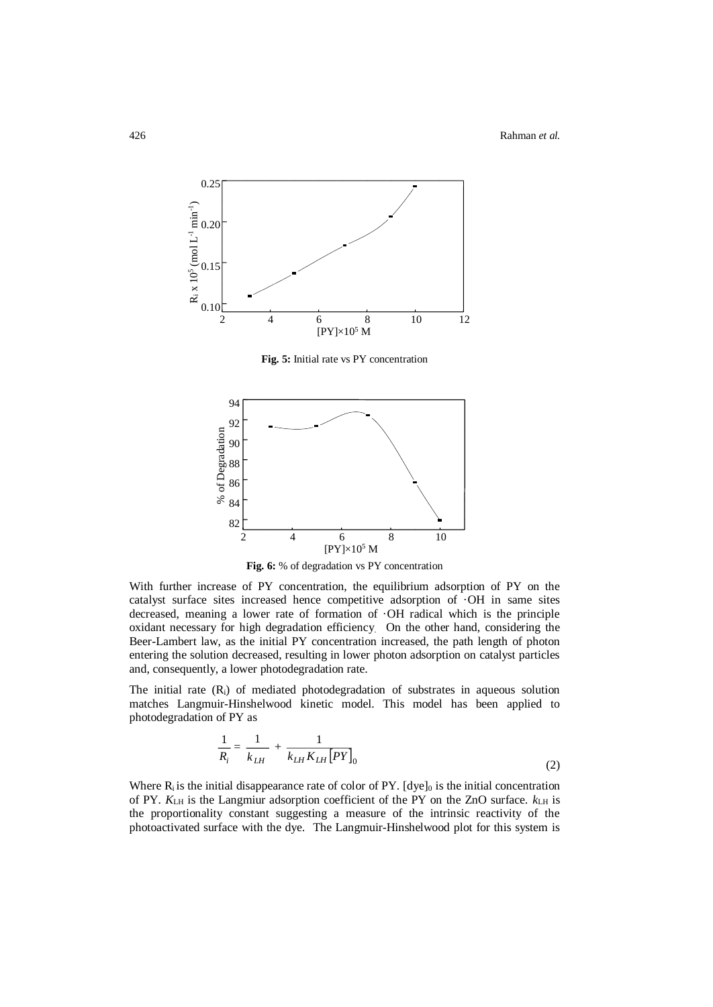

**Fig. 5:** Initial rate vs PY concentration



**Fig. 6:** % of degradation vs PY concentration

With further increase of PY concentration, the equilibrium adsorption of PY on the catalyst surface sites increased hence competitive adsorption of ·OH in same sites decreased, meaning a lower rate of formation of ·OH radical which is the principle oxidant necessary for high degradation efficiency. On the other hand, considering the Beer-Lambert law, as the initial PY concentration increased, the path length of photon entering the solution decreased, resulting in lower photon adsorption on catalyst particles and, consequently, a lower photodegradation rate.

The initial rate  $(R_i)$  of mediated photodegradation of substrates in aqueous solution matches Langmuir-Hinshelwood kinetic model. This model has been applied to photodegradation of PY as

$$
\frac{1}{R_i} = \frac{1}{k_{LH}} + \frac{1}{k_{LH} K_{LH} [PY]_0}
$$
\n(2)

Where  $R_i$  is the initial disappearance rate of color of PY. [dye] $_0$  is the initial concentration of PY. *K*LH is the Langmiur adsorption coefficient of the PY on the ZnO surface. *k*LH is the proportionality constant suggesting a measure of the intrinsic reactivity of the photoactivated surface with the dye. The Langmuir-Hinshelwood plot for this system is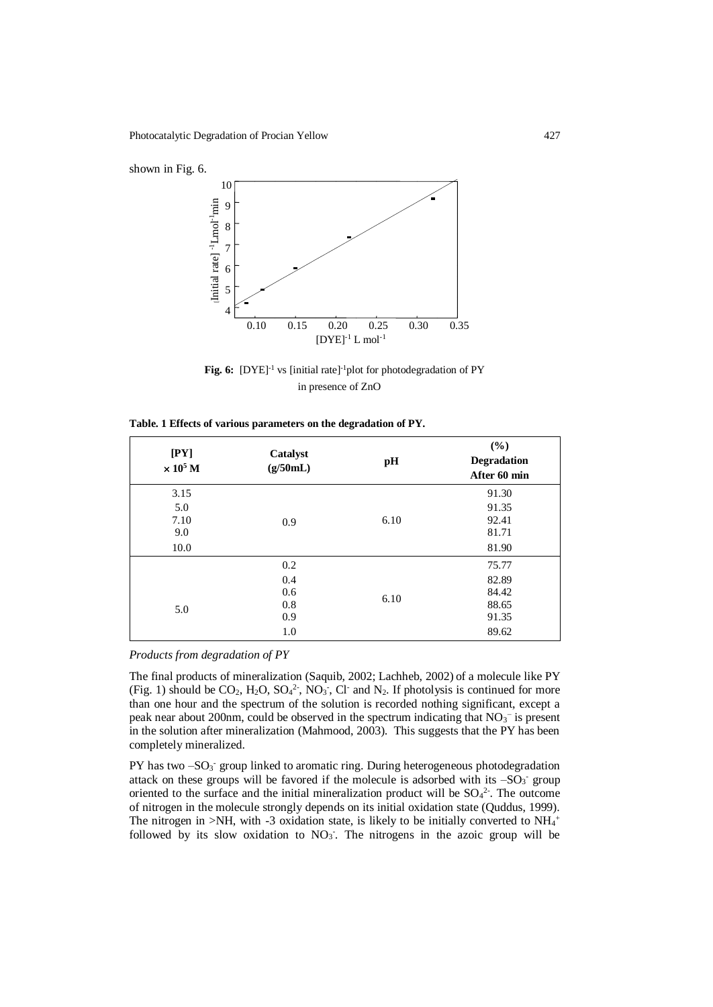

Fig. 6: [DYE]<sup>-1</sup> vs [initial rate]<sup>-1</sup>plot for photodegradation of PY in presence of ZnO

| [PY]<br>$\times 10^5$ M | Catalyst<br>(g/50mL) | pH   | (%)<br><b>Degradation</b><br>After 60 min |
|-------------------------|----------------------|------|-------------------------------------------|
| 3.15                    | 0.9                  |      | 91.30                                     |
| 5.0                     |                      |      | 91.35                                     |
| 7.10                    |                      | 6.10 | 92.41                                     |
| 9.0                     |                      |      | 81.71                                     |
| 10.0                    |                      |      | 81.90                                     |
| 5.0                     | 0.2                  | 6.10 | 75.77                                     |
|                         | 0.4                  |      | 82.89                                     |
|                         | 0.6                  |      | 84.42                                     |
|                         | 0.8                  |      | 88.65                                     |
|                         | 0.9                  |      | 91.35                                     |
|                         | 1.0                  |      | 89.62                                     |

**Table. 1 Effects of various parameters on the degradation of PY.**

# *Products from degradation of PY*

The final products of mineralization (Saquib, 2002; Lachheb, 2002) of a molecule like PY (Fig. 1) should be  $CO_2$ ,  $H_2O$ ,  $SO_4^2$ ,  $NO_3$ ,  $Cl$  and  $N_2$ . If photolysis is continued for more than one hour and the spectrum of the solution is recorded nothing significant, except a peak near about 200nm, could be observed in the spectrum indicating that  $NO<sub>3</sub><sup>-</sup>$  is present in the solution after mineralization (Mahmood, 2003). This suggests that the PY has been completely mineralized.

PY has two -SO<sub>3</sub><sup>-</sup> group linked to aromatic ring. During heterogeneous photodegradation attack on these groups will be favored if the molecule is adsorbed with its  $-SO_3$  group oriented to the surface and the initial mineralization product will be  $SO_4^2$ . The outcome of nitrogen in the molecule strongly depends on its initial oxidation state (Quddus, 1999). The nitrogen in >NH, with -3 oxidation state, is likely to be initially converted to  $NH_4$ <sup>+</sup> followed by its slow oxidation to  $NO<sub>3</sub>$ . The nitrogens in the azoic group will be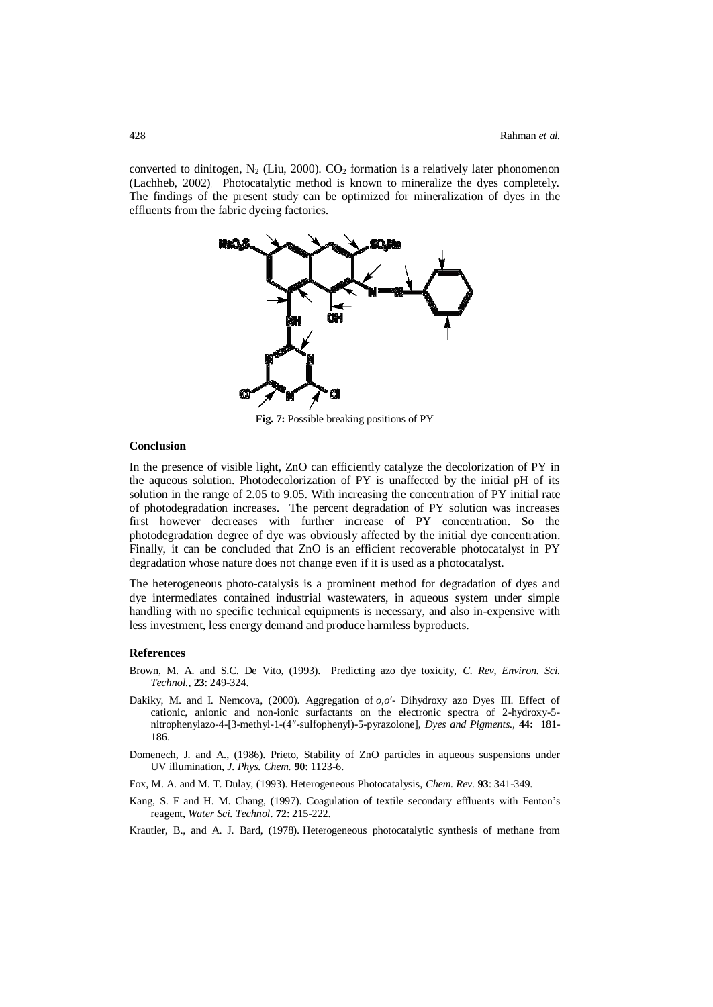converted to dinitogen,  $N_2$  (Liu, 2000).  $CO_2$  formation is a relatively later phonomenon (Lachheb, 2002). Photocatalytic method is known to mineralize the dyes completely. The findings of the present study can be optimized for mineralization of dyes in the effluents from the fabric dyeing factories.



**Fig. 7:** Possible breaking positions of PY

#### **Conclusion**

In the presence of visible light, ZnO can efficiently catalyze the decolorization of PY in the aqueous solution. Photodecolorization of PY is unaffected by the initial pH of its solution in the range of 2.05 to 9.05. With increasing the concentration of PY initial rate of photodegradation increases. The percent degradation of PY solution was increases first however decreases with further increase of PY concentration. So the photodegradation degree of dye was obviously affected by the initial dye concentration. Finally, it can be concluded that ZnO is an efficient recoverable photocatalyst in PY degradation whose nature does not change even if it is used as a photocatalyst.

The heterogeneous photo-catalysis is a prominent method for degradation of dyes and dye intermediates contained industrial wastewaters, in aqueous system under simple handling with no specific technical equipments is necessary, and also in-expensive with less investment, less energy demand and produce harmless byproducts.

### **References**

- Brown, M. A. and S.C. De Vito, (1993). Predicting azo dye toxicity, *C. Rev, Environ. Sci. Technol.,* **23**: 249-324.
- Dakiky, M. and I. Nemcova, (2000). Aggregation of  $o, o'$  Dihydroxy azo Dyes III. Effect of cationic, anionic and non-ionic surfactants on the electronic spectra of 2-hydroxy-5 nitrophenylazo-4-[3-methyl-1-(4″-sulfophenyl)-5-pyrazolone], *Dyes and Pigments.,* **44:** 181- 186.
- Domenech, J. and A., (1986). Prieto, Stability of ZnO particles in aqueous suspensions under UV illumination, *J. Phys. Chem.* **90**: 1123-6.
- Fox, M. A. and M. T. Dulay, (1993). Heterogeneous Photocatalysis, *Chem. Rev.* **93**: 341-349.
- Kang, S. F and H. M. Chang, (1997). Coagulation of textile secondary effluents with Fenton's reagent, *Water Sci. Technol*. **72**: 215-222.
- Krautler, B., and A. J. Bard, (1978). Heterogeneous photocatalytic synthesis of methane from